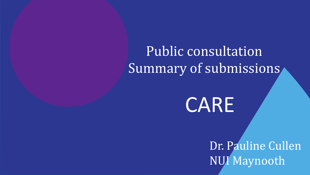Public consultation Summary of submissions

## CARE

Dr. Pauline Cullen NUI Maynooth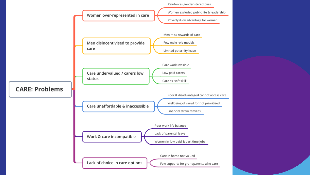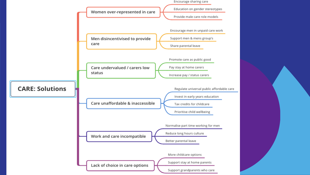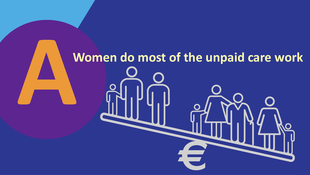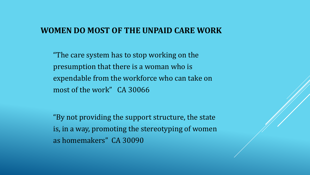#### **WOMEN DO MOST OF THE UNPAID CARE WORK**

"The care system has to stop working on the presumption that there is a woman who is expendable from the workforce who can take on most of the work" CA 30066

"By not providing the support structure, the state is, in a way, promoting the stereotyping of women as homemakers" CA 30090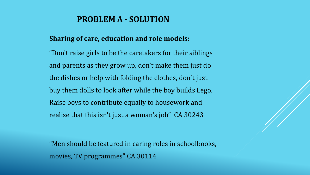#### **PROBLEM A - SOLUTION**

#### **Sharing of care, education and role models:**

"Don't raise girls to be the caretakers for their siblings and parents as they grow up, don't make them just do the dishes or help with folding the clothes, don't just buy them dolls to look after while the boy builds Lego. Raise boys to contribute equally to housework and realise that this isn't just a woman's job" CA 30243

"Men should be featured in caring roles in schoolbooks, movies, TV programmes" CA 30114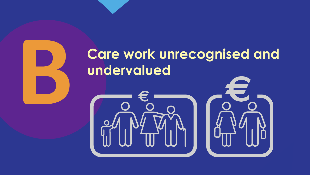## **Care work unrecognised and undervalued**



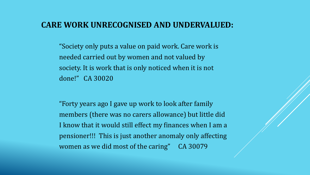#### **CARE WORK UNRECOGNISED AND UNDERVALUED:**

"Society only puts a value on paid work. Care work is needed carried out by women and not valued by society. It is work that is only noticed when it is not done!" CA 30020

"Forty years ago I gave up work to look after family members (there was no carers allowance) but little did I know that it would still effect my finances when I am a pensioner!!! This is just another anomaly only affecting women as we did most of the caring" CA 30079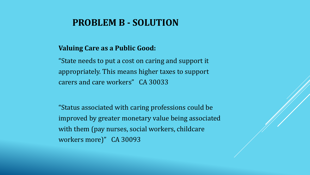#### **PROBLEM B - SOLUTION**

#### **Valuing Care as a Public Good:**

"State needs to put a cost on caring and support it appropriately. This means higher taxes to support carers and care workers" CA 30033

"Status associated with caring professions could be improved by greater monetary value being associated with them (pay nurses, social workers, childcare workers more)" CA 30093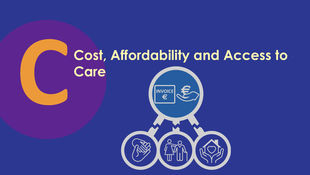## **Cost, Affordability and Access to Care**

**INVOICE**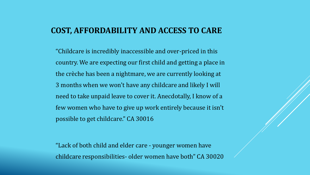#### **COST, AFFORDABILITY AND ACCESS TO CARE**

"Childcare is incredibly inaccessible and over-priced in this country. We are expecting our first child and getting a place in the crèche has been a nightmare, we are currently looking at 3 months when we won't have any childcare and likely I will need to take unpaid leave to cover it. Anecdotally, I know of a few women who have to give up work entirely because it isn't possible to get childcare." CA 30016

"Lack of both child and elder care - younger women have childcare responsibilities- older women have both" CA 30020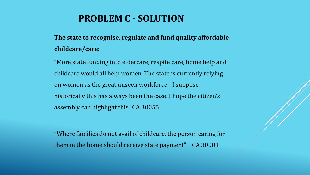#### **PROBLEM C - SOLUTION**

#### **The state to recognise, regulate and fund quality affordable childcare/care:**

"More state funding into eldercare, respite care, home help and childcare would all help women. The state is currently relying on women as the great unseen workforce - I suppose historically this has always been the case. I hope the citizen's assembly can highlight this" CA 30055

"Where families do not avail of childcare, the person caring for them in the home should receive state payment" CA 30001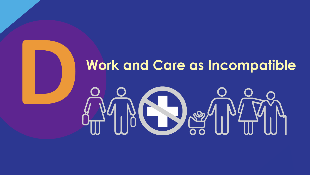### **Work and Care as Incompatible**

# De g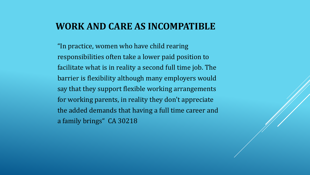#### **WORK AND CARE AS INCOMPATIBLE**

"In practice, women who have child rearing responsibilities often take a lower paid position to facilitate what is in reality a second full time job. The barrier is flexibility although many employers would say that they support flexible working arrangements for working parents, in reality they don't appreciate the added demands that having a full time career and a family brings" CA 30218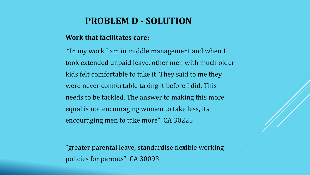#### **PROBLEM D - SOLUTION**

#### **Work that facilitates care:**

"In my work I am in middle management and when I took extended unpaid leave, other men with much older kids felt comfortable to take it. They said to me they were never comfortable taking it before I did. This needs to be tackled. The answer to making this more equal is not encouraging women to take less, its encouraging men to take more" CA 30225

"greater parental leave, standardise flexible working policies for parents" CA 30093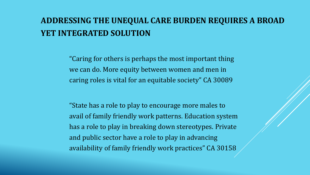#### **ADDRESSING THE UNEQUAL CARE BURDEN REQUIRES A BROAD YET INTEGRATED SOLUTION**

"Caring for others is perhaps the most important thing we can do. More equity between women and men in caring roles is vital for an equitable society" CA 30089

"State has a role to play to encourage more males to avail of family friendly work patterns. Education system has a role to play in breaking down stereotypes. Private and public sector have a role to play in advancing availability of family friendly work practices" CA 30158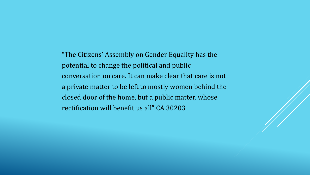"The Citizens' Assembly on Gender Equality has the potential to change the political and public conversation on care. It can make clear that care is not a private matter to be left to mostly women behind the closed door of the home, but a public matter, whose rectification will benefit us all" CA 30203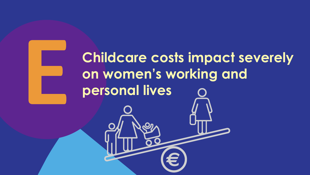**Childcare costs impact severely on women's working and personal lives**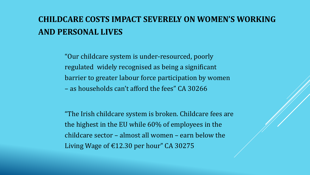#### **CHILDCARE COSTS IMPACT SEVERELY ON WOMEN'S WORKING AND PERSONAL LIVES**

"Our childcare system is under-resourced, poorly regulated widely recognised as being a significant barrier to greater labour force participation by women – as households can't afford the fees" CA 30266

"The Irish childcare system is broken. Childcare fees are the highest in the EU while 60% of employees in the childcare sector – almost all women – earn below the Living Wage of €12.30 per hour" CA 30275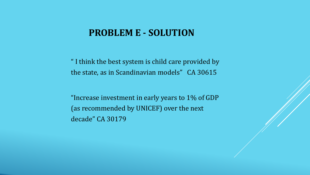#### **PROBLEM E - SOLUTION**

" I think the best system is child care provided by the state, as in Scandinavian models" CA 30615

"Increase investment in early years to 1% of GDP (as recommended by UNICEF) over the next decade" CA 30179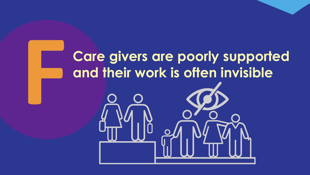## **Care givers are poorly supported and their work is often invisible**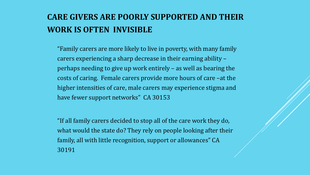#### **CARE GIVERS ARE POORLY SUPPORTED AND THEIR WORK IS OFTEN INVISIBLE**

"Family carers are more likely to live in poverty, with many family carers experiencing a sharp decrease in their earning ability – perhaps needing to give up work entirely – as well as bearing the costs of caring. Female carers provide more hours of care –at the higher intensities of care, male carers may experience stigma and have fewer support networks" CA 30153

"If all family carers decided to stop all of the care work they do, what would the state do? They rely on people looking after their family, all with little recognition, support or allowances" CA 30191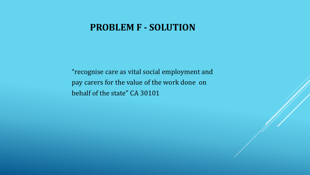#### **PROBLEM F - SOLUTION**

"recognise care as vital social employment and pay carers for the value of the work done on behalf of the state" CA 30101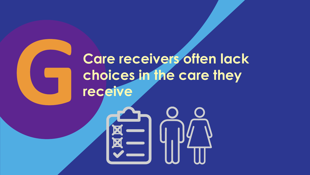## **Care receivers often lack choices in the care they receive**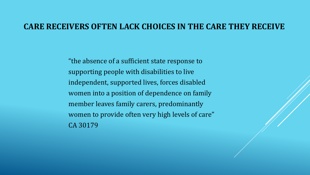#### **CARE RECEIVERS OFTEN LACK CHOICES IN THE CARE THEY RECEIVE**

"the absence of a sufficient state response to supporting people with disabilities to live independent, supported lives, forces disabled women into a position of dependence on family member leaves family carers, predominantly women to provide often very high levels of care" CA 30179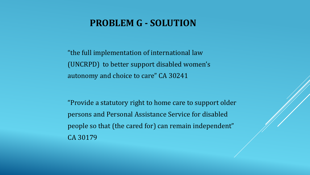#### **PROBLEM G - SOLUTION**

"the full implementation of international law (UNCRPD) to better support disabled women's autonomy and choice to care" CA 30241

"Provide a statutory right to home care to support older persons and Personal Assistance Service for disabled people so that (the cared for) can remain independent" CA 30179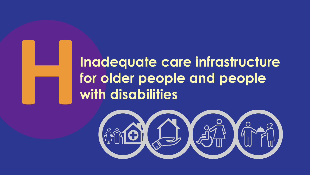## **Inadequate care infrastructure for older people and people with disabilities**

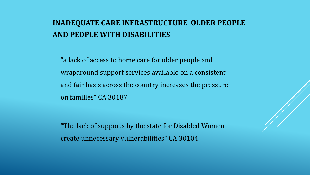#### **INADEQUATE CARE INFRASTRUCTURE OLDER PEOPLE AND PEOPLE WITH DISABILITIES**

"a lack of access to home care for older people and wraparound support services available on a consistent and fair basis across the country increases the pressure on families" CA 30187

"The lack of supports by the state for Disabled Women create unnecessary vulnerabilities" CA 30104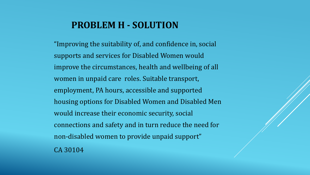#### **PROBLEM H - SOLUTION**

"Improving the suitability of, and confidence in, social supports and services for Disabled Women would improve the circumstances, health and wellbeing of all women in unpaid care roles. Suitable transport, employment, PA hours, accessible and supported housing options for Disabled Women and Disabled Men would increase their economic security, social connections and safety and in turn reduce the need for non-disabled women to provide unpaid support" CA 30104